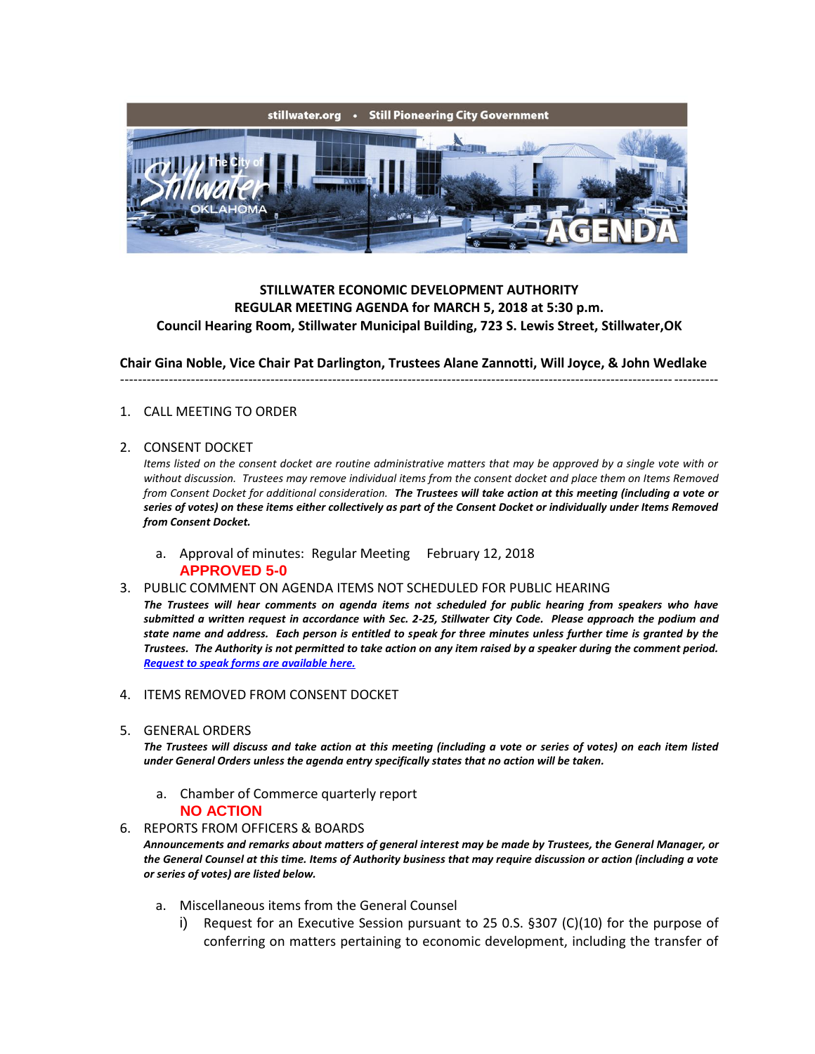

# **STILLWATER ECONOMIC DEVELOPMENT AUTHORITY REGULAR MEETING AGENDA for MARCH 5, 2018 at 5:30 p.m. Council Hearing Room, Stillwater Municipal Building, 723 S. Lewis Street, Stillwater,OK**

**Chair Gina Noble, Vice Chair Pat Darlington, Trustees Alane Zannotti, Will Joyce, & John Wedlake**

---------------------------------------------------------------------------------------------------------------------------------------

#### 1. CALL MEETING TO ORDER

#### 2. CONSENT DOCKET

*Items listed on the consent docket are routine administrative matters that may be approved by a single vote with or without discussion. Trustees may remove individual items from the consent docket and place them on Items Removed from Consent Docket for additional consideration. The Trustees will take action at this meeting (including a vote or series of votes) on these items either collectively as part of the Consent Docket or individually under Items Removed from Consent Docket.*

a. Approval of minutes: Regular Meeting February 12, 2018 **APPROVED 5-0**

#### 3. PUBLIC COMMENT ON AGENDA ITEMS NOT SCHEDULED FOR PUBLIC HEARING

*The Trustees will hear comments on agenda items not scheduled for public hearing from speakers who have submitted a written request in accordance with Sec. 2-25, Stillwater City Code. Please approach the podium and state name and address. Each person is entitled to speak for three minutes unless further time is granted by the Trustees. The Authority is not permitted to take action on any item raised by a speaker during the comment period. [Request to speak forms are available here.](http://stillwater.org/document/request_to_speak_at_city_council.php)*

- 4. ITEMS REMOVED FROM CONSENT DOCKET
- 5. GENERAL ORDERS

*The Trustees will discuss and take action at this meeting (including a vote or series of votes) on each item listed under General Orders unless the agenda entry specifically states that no action will be taken.*

a. Chamber of Commerce quarterly report

#### **NO ACTION**

6. REPORTS FROM OFFICERS & BOARDS

*Announcements and remarks about matters of general interest may be made by Trustees, the General Manager, or the General Counsel at this time. Items of Authority business that may require discussion or action (including a vote or series of votes) are listed below.*

- a. Miscellaneous items from the General Counsel
	- i) Request for an Executive Session pursuant to 25 0.S. §307 (C)(10) for the purpose of conferring on matters pertaining to economic development, including the transfer of